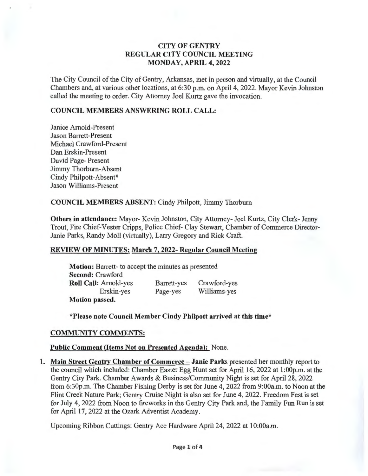# CITY OF GENTRY REGULAR CITY COUNCIL MEETING MONDAY, APRIL 4, 2022

The City Council of the City of Gentry, Arkansas, met in person and virtually, at the Council Chambers and, at various other locations, at 6:30 p.m. on April 4, 2022. Mayor Kevin Johnston called the meeting to order. City Attorney Joel Kurtz gave the invocation.

#### COUNCIL MEMBERS ANSWERING ROLL CALL:

Janice Arnold-Present Jason Barrett-Present Michael Crawford-Present Dan Erskin-Present David Page- Present Jimmy Thorburn-Absent Cindy Philpott-Absent\* Jason Williams-Present

#### COUNCIL MEMBERS ABSENT: Cindy Philpott, Jimmy Thorburn

Others in attendance: Mayor- Kevin Johnston, City Attorney- Joel Kurtz, City Clerk- Jenny Trout, Fire Chief-Vester Cripps, Police Chief- Clay Stewart, Chamber of Commerce Director-Janie Parks, Randy Moll (virtually), Larry Gregory and Rick Craft.

## REVIEW OF MINUTES: March 7, 2022- Regular Council Meeting

Motion: Barrett- to accept the minutes as presented Second: Crawford Roll Call: Arnold-yes Erskin-yes Motion passed. Barrett-yes Page-yes Crawford-yes Williams-yes

\*Please note Council Member Cindy Philpott arrived at this time\*

## COMMUNITY COMMENTS:

## Public Comment (Items Not on Presented Agenda): None.

1. Main Street Gentry Chamber of Commerce- Janie Parks presented her monthly report to the council which included: Chamber Easter Egg Hunt set for April 16, 2022 at 1 :OOp.m. at the Gentry City Park. Chamber Awards & Business/Community Night is set for April28, 2022 from 6:30p.m. The Chamber Fishing Derby is set for June 4, 2022 from 9:00a.m. to Noon at the Flint Creek Nature Park; Gentry Cruise Night is also set for June 4, 2022. Freedom Fest is set for July 4, 2022 from Noon to fireworks in the Gentry City Park and, the Family Fun Run is set for April 17, 2022 at the Ozark Adventist Academy.

Upcoming Ribbon Cuttings: Gentry Ace Hardware April 24, 2022 at 1 O:OOa.m.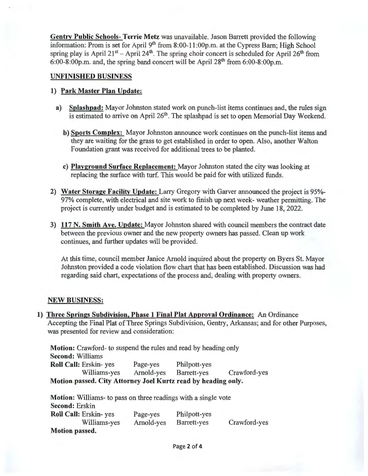Gentry Public Schools- Terrie Metz was unavailable. Jason Barrett provided the following information: Prom is set for April 9<sup>th</sup> from 8:00-11:00p.m. at the Cypress Barn; High School spring play is April  $21^{st}$  - April  $24^{th}$ . The spring choir concert is scheduled for April  $26^{th}$  from  $6:00-8:00p.m.$  and, the spring band concert will be April  $28<sup>th</sup>$  from  $6:00-8:00p.m.$ 

## UNFINISHED BUSINESS

# 1) Park Master Plan Update:

- a) Splashpad: Mayor Johnston stated work on punch-list items continues and, the rules sign is estimated to arrive on April  $26<sup>th</sup>$ . The splashpad is set to open Memorial Day Weekend.
	- b) Sports Complex: Mayor Johnston announce work continues on the punch-list items and they are waiting for the grass to get established in order to open. Also, another Walton Foundation grant was received for additional trees to be planted.
	- c) Playground Surface Replacement: Mayor Johnston stated the city was looking at replacing the surface with turf. This would be paid for with utilized funds.
- 2) Water Storage Facility Update: Larry Gregory with Garver announced the project is 95%- 97% complete, with electrical and site work to finish up next week- weather permitting. The project is currently under budget and is estimated to be completed by June 18, 2022.
- 3) 117 N. Smith Ave. Update: Mayor Johnston shared with council members the contract date between the previous owner and the new property owners has passed. Clean up work continues, and further updates will be provided.

At this time, council member Janice Arnold inquired about the property on Byers St. Mayor Johnston provided a code violation flow chart that has been established. Discussion was had regarding said chart, expectations of the process and, dealing with property owners.

# NEW BUSINESS:

1) Three Springs Subdivision, Phase 1 Final Plat Approval Ordinance: An Ordinance Accepting the Final Plat of Three Springs Subdivision, Gentry, Arkansas; and for other Purposes, was presented for review and consideration:

Motion: Crawford- to suspend the rules and read by heading only Second: Williams Roll Call: Erskin- yes Page-yes Philpott-yes Williams-yes Arnold-yes Barrett-yes Crawford-yes Motion passed. City Attorney Joel Kurtz read by heading only. Motion: Williams- to pass on three readings with a single vote  $S_{\text{scat}} = 1$ . Erskinne

| Second: Erskin<br>Roll Call: Erskin-yes<br>Williams-yes | Page-yes<br>Arnold-yes | Philpott-yes<br>Barrett-yes | Crawford-yes |
|---------------------------------------------------------|------------------------|-----------------------------|--------------|
| Motion passed.                                          |                        |                             |              |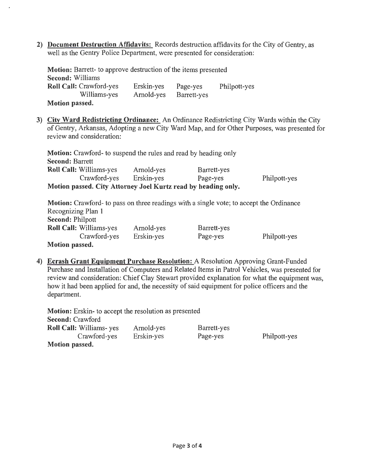**2) Document Destruction Affidavits:** Records destruction affidavits for the City of Gentry, as well as the Gentry Police Department, were presented for consideration:

**Motion:** Barrett- to approve destruction of the items presented **Second:** Williams **Roll Call:** Crawford-yes Williams-yes **Motion passed.**  Erskin-yes Arnold-yes Page-yes Barrett-yes Philpott-yes

**3) Citv Ward Redistricting Ordinance:** An Ordinance Redistricting City Wards within the City of Gentry, Arkansas, Adopting a new City Ward Map, and for Other Purposes, was presented for review and consideration:

**Motion:** Crawford- to suspend the rules and read by heading only **Second:** Barrett **Roll Call:** Williams-yes Arnold-yes Barrett-yes Crawford-yes Erskin-yes Page-yes **Motion passed. City Attorney Joel Kurtz read by heading only.**  Philpott-yes

**Motion:** Crawford- to pass on three readings with a single vote; to accept the Ordinance Recognizing Plan 1 **Second:** Philpott **Roll Call:** Williams-yes Crawford-yes **Motion passed.**  Arnold-yes Erskin-yes Barrett-yes Page-yes Philpott-yes

**4) Ecrash Grant Equipment Purchase Resolution:** A Resolution Approving Grant-Funded Purchase and Installation of Computers and Related Items in Patrol Vehicles, was presented for review and consideration: Chief Clay Stewart provided explanation for what the equipment was, how it had been applied for and, the necessity of said equipment for police officers and the department.

**Motion:** Erskin- to accept the resolution as presented **Second:** Crawford **Roll Call:** Williams- yes Crawford-yes **Motion passed.**  Arnold-yes Erskin-yes

Barrett-yes Page-yes

Philpott-yes